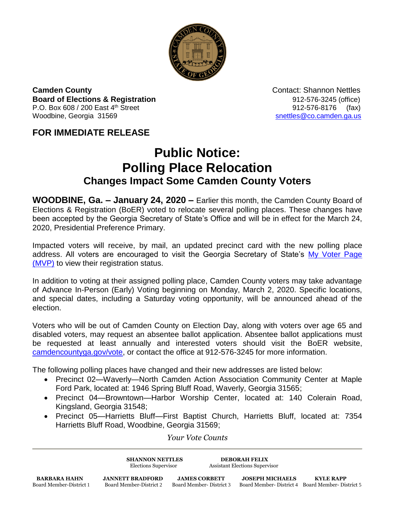

**Camden County Contact: Shannon Nettles Board of Elections & Registration** 8. **Board of Elections & Registration** P.O. Box 608 / 200 East 4<sup>th</sup> Street 912-576-8176 (fax) Woodbine, Georgia 31569 [snettles@co.camden.ga.us](mailto:snettles@co.camden.ga.us)

## **FOR IMMEDIATE RELEASE**

## **Public Notice: Polling Place Relocation Changes Impact Some Camden County Voters**

**WOODBINE, Ga. – January 24, 2020 –** Earlier this month, the Camden County Board of Elections & Registration (BoER) voted to relocate several polling places. These changes have been accepted by the Georgia Secretary of State's Office and will be in effect for the March 24, 2020, Presidential Preference Primary.

Impacted voters will receive, by mail, an updated precinct card with the new polling place address. All voters are encouraged to visit the Georgia Secretary of State's My Voter Page [\(MVP\)](https://www.mvp.sos.ga.gov/) to view their registration status.

In addition to voting at their assigned polling place, Camden County voters may take advantage of Advance In-Person (Early) Voting beginning on Monday, March 2, 2020. Specific locations, and special dates, including a Saturday voting opportunity, will be announced ahead of the election.

Voters who will be out of Camden County on Election Day, along with voters over age 65 and disabled voters, may request an absentee ballot application. Absentee ballot applications must be requested at least annually and interested voters should visit the BoER website, [camdencountyga.gov/vote,](https://www.camdencountyga.gov/971/Elections-Registration) or contact the office at 912-576-3245 for more information.

The following polling places have changed and their new addresses are listed below:

- Precinct 02—Waverly—North Camden Action Association Community Center at Maple Ford Park, located at: 1946 Spring Bluff Road, Waverly, Georgia 31565;
- Precinct 04—Browntown—Harbor Worship Center, located at: 140 Colerain Road, Kingsland, Georgia 31548;
- Precinct 05—Harrietts Bluff—First Baptist Church, Harrietts Bluff, located at: 7354 Harrietts Bluff Road, Woodbine, Georgia 31569;

*Your Vote Counts*

**SHANNON NETTLES DEBORAH FELIX**

Elections Supervisor Assistant Elections Supervisor